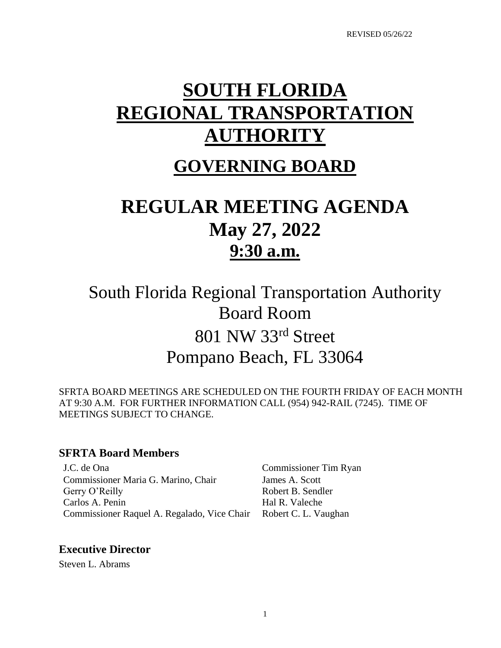# **SOUTH FLORIDA REGIONAL TRANSPORTATION AUTHORITY**

# **GOVERNING BOARD**

# **REGULAR MEETING AGENDA May 27, 2022 9:30 a.m.**

South Florida Regional Transportation Authority Board Room 801 NW 33rd Street Pompano Beach, FL 33064

SFRTA BOARD MEETINGS ARE SCHEDULED ON THE FOURTH FRIDAY OF EACH MONTH AT 9:30 A.M. FOR FURTHER INFORMATION CALL (954) 942-RAIL (7245). TIME OF MEETINGS SUBJECT TO CHANGE.

# **SFRTA Board Members**

J.C. de Ona Commissioner Tim Ryan Commissioner Maria G. Marino, Chair James A. Scott Gerry O'Reilly **Robert B. Sendler** Carlos A. Penin Hal R. Valeche Commissioner Raquel A. Regalado, Vice Chair Robert C. L. Vaughan

# **Executive Director**

Steven L. Abrams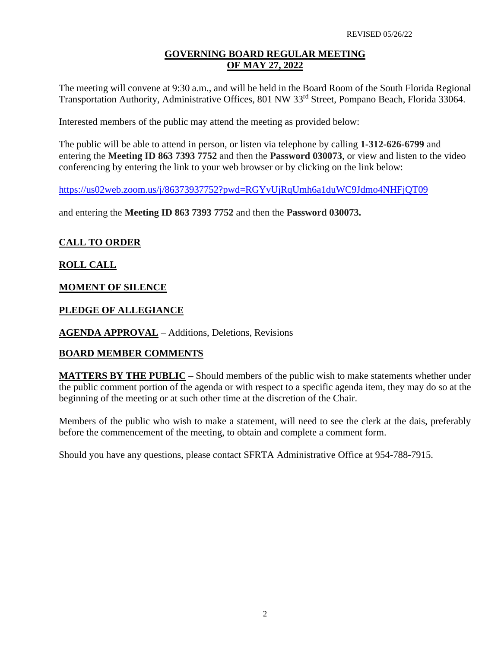#### **GOVERNING BOARD REGULAR MEETING OF MAY 27, 2022**

The meeting will convene at 9:30 a.m., and will be held in the Board Room of the South Florida Regional Transportation Authority, Administrative Offices, 801 NW 33<sup>rd</sup> Street, Pompano Beach, Florida 33064.

Interested members of the public may attend the meeting as provided below:

The public will be able to attend in person, or listen via telephone by calling **1-312-626-6799** and entering the **Meeting ID 863 7393 7752** and then the **Password 030073**, or view and listen to the video conferencing by entering the link to your web browser or by clicking on the link below:

<https://us02web.zoom.us/j/86373937752?pwd=RGYvUjRqUmh6a1duWC9Jdmo4NHFjQT09>

and entering the **Meeting ID 863 7393 7752** and then the **Password 030073.**

#### **CALL TO ORDER**

#### **ROLL CALL**

#### **MOMENT OF SILENCE**

#### **PLEDGE OF ALLEGIANCE**

**AGENDA APPROVAL** – Additions, Deletions, Revisions

#### **BOARD MEMBER COMMENTS**

**MATTERS BY THE PUBLIC** – Should members of the public wish to make statements whether under the public comment portion of the agenda or with respect to a specific agenda item, they may do so at the beginning of the meeting or at such other time at the discretion of the Chair.

Members of the public who wish to make a statement, will need to see the clerk at the dais, preferably before the commencement of the meeting, to obtain and complete a comment form.

Should you have any questions, please contact SFRTA Administrative Office at 954-788-7915.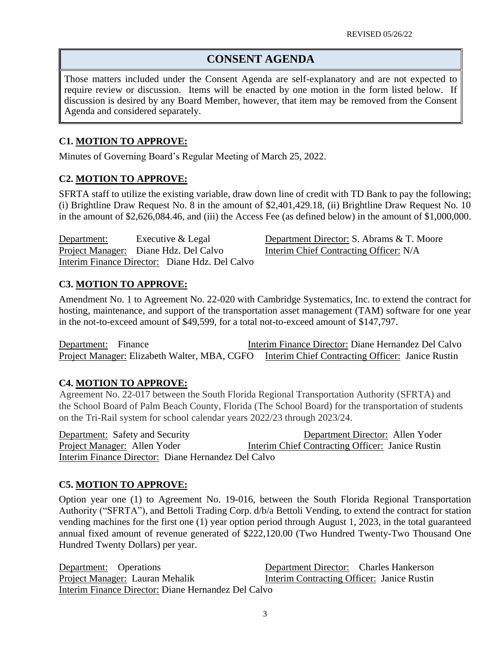# **CONSENT AGENDA**

Those matters included under the Consent Agenda are self-explanatory and are not expected to require review or discussion. Items will be enacted by one motion in the form listed below. If discussion is desired by any Board Member, however, that item may be removed from the Consent Agenda and considered separately.

# **C1. MOTION TO APPROVE:**

Minutes of Governing Board's Regular Meeting of March 25, 2022.

# **C2. MOTION TO APPROVE:**

SFRTA staff to utilize the existing variable, draw down line of credit with TD Bank to pay the following; (i) Brightline Draw Request No. 8 in the amount of \$2,401,429.18, (ii) Brightline Draw Request No. 10 in the amount of \$2,626,084.46, and (iii) the Access Fee (as defined below) in the amount of \$1,000,000.

Department: Executive & Legal Department Director: S. Abrams & T. Moore Project Manager: Diane Hdz. Del Calvo Interim Chief Contracting Officer: N/A Interim Finance Director: Diane Hdz. Del Calvo

# **C3. MOTION TO APPROVE:**

Amendment No. 1 to Agreement No. 22-020 with Cambridge Systematics, Inc. to extend the contract for hosting, maintenance, and support of the transportation asset management (TAM) software for one year in the not-to-exceed amount of \$49,599, for a total not-to-exceed amount of \$147,797.

Department: Finance Interim Finance Director: Diane Hernandez Del Calvo Project Manager: Elizabeth Walter, MBA, CGFO Interim Chief Contracting Officer: Janice Rustin

# **C4. MOTION TO APPROVE:**

Agreement No. 22-017 between the South Florida Regional Transportation Authority (SFRTA) and the School Board of Palm Beach County, Florida (The School Board) for the transportation of students on the Tri-Rail system for school calendar years 2022/23 through 2023/24.

Department: Safety and Security Department Director: Allen Yoder Project Manager: Allen Yoder Interim Chief Contracting Officer: Janice Rustin Interim Finance Director: Diane Hernandez Del Calvo

# **C5. MOTION TO APPROVE:**

Option year one (1) to Agreement No. 19-016, between the South Florida Regional Transportation Authority ("SFRTA"), and Bettoli Trading Corp. d/b/a Bettoli Vending, to extend the contract for station vending machines for the first one (1) year option period through August 1, 2023, in the total guaranteed annual fixed amount of revenue generated of \$222,120.00 (Two Hundred Twenty-Two Thousand One Hundred Twenty Dollars) per year.

Department: Operations Department Director: Charles Hankerson Project Manager: Lauran Mehalik Interim Contracting Officer: Janice Rustin Interim Finance Director: Diane Hernandez Del Calvo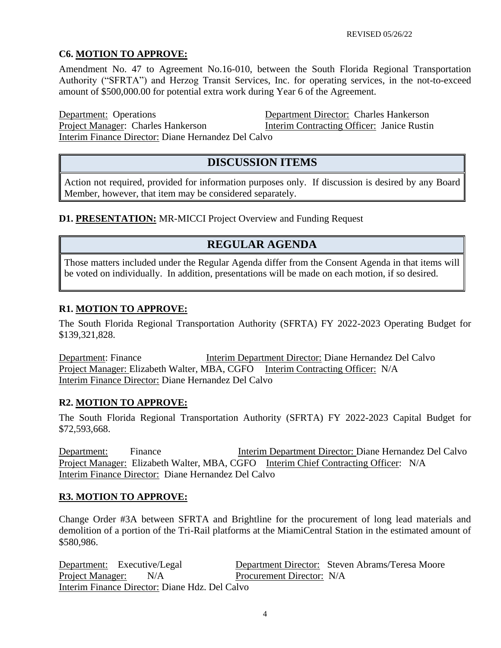# **C6. MOTION TO APPROVE:**

Amendment No. 47 to Agreement No.16-010, between the South Florida Regional Transportation Authority ("SFRTA") and Herzog Transit Services, Inc. for operating services, in the not-to-exceed amount of \$500,000.00 for potential extra work during Year 6 of the Agreement.

Department: Operations Department Director: Charles Hankerson Project Manager: Charles Hankerson Interim Contracting Officer: Janice Rustin Interim Finance Director: Diane Hernandez Del Calvo

**DISCUSSION ITEMS**

Action not required, provided for information purposes only. If discussion is desired by any Board Member, however, that item may be considered separately.

# **D1. PRESENTATION:** MR-MICCI Project Overview and Funding Request

# **REGULAR AGENDA**

Those matters included under the Regular Agenda differ from the Consent Agenda in that items will be voted on individually. In addition, presentations will be made on each motion, if so desired.

# **R1. MOTION TO APPROVE:**

The South Florida Regional Transportation Authority (SFRTA) FY 2022-2023 Operating Budget for \$139,321,828.

Department: Finance Interim Department Director: Diane Hernandez Del Calvo Project Manager: Elizabeth Walter, MBA, CGFO Interim Contracting Officer: N/A Interim Finance Director: Diane Hernandez Del Calvo

#### **R2. MOTION TO APPROVE:**

The South Florida Regional Transportation Authority (SFRTA) FY 2022-2023 Capital Budget for \$72,593,668.

Department: Finance Interim Department Director: Diane Hernandez Del Calvo Project Manager: Elizabeth Walter, MBA, CGFO Interim Chief Contracting Officer: N/A Interim Finance Director: Diane Hernandez Del Calvo

#### **R3. MOTION TO APPROVE:**

Change Order #3A between SFRTA and Brightline for the procurement of long lead materials and demolition of a portion of the Tri-Rail platforms at the MiamiCentral Station in the estimated amount of \$580,986.

Department: Executive/Legal Department Director: Steven Abrams/Teresa Moore Project Manager: N/A Procurement Director: N/A Interim Finance Director: Diane Hdz. Del Calvo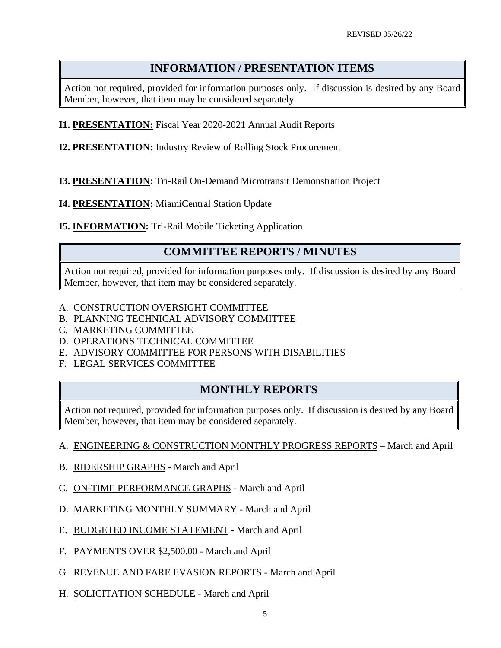# **INFORMATION / PRESENTATION ITEMS**

Action not required, provided for information purposes only. If discussion is desired by any Board Member, however, that item may be considered separately.

- **I1. PRESENTATION:** Fiscal Year 2020-2021 Annual Audit Reports
- **I2. PRESENTATION:** Industry Review of Rolling Stock Procurement
- **I3. PRESENTATION:** Tri-Rail On-Demand Microtransit Demonstration Project
- **I4. PRESENTATION:** MiamiCentral Station Update
- **I5. INFORMATION:** Tri-Rail Mobile Ticketing Application

# **COMMITTEE REPORTS / MINUTES**

Action not required, provided for information purposes only. If discussion is desired by any Board Member, however, that item may be considered separately.

- A. CONSTRUCTION OVERSIGHT COMMITTEE
- B. PLANNING TECHNICAL ADVISORY COMMITTEE
- C. MARKETING COMMITTEE
- D. OPERATIONS TECHNICAL COMMITTEE
- E. ADVISORY COMMITTEE FOR PERSONS WITH DISABILITIES
- F. LEGAL SERVICES COMMITTEE

# **MONTHLY REPORTS**

Action not required, provided for information purposes only. If discussion is desired by any Board Member, however, that item may be considered separately.

- A. ENGINEERING & CONSTRUCTION MONTHLY PROGRESS REPORTS March and April
- B. RIDERSHIP GRAPHS March and April
- C. ON-TIME PERFORMANCE GRAPHS March and April
- D. MARKETING MONTHLY SUMMARY March and April
- E. BUDGETED INCOME STATEMENT March and April
- F. PAYMENTS OVER \$2,500.00 March and April
- G. REVENUE AND FARE EVASION REPORTS March and April
- H. SOLICITATION SCHEDULE March and April